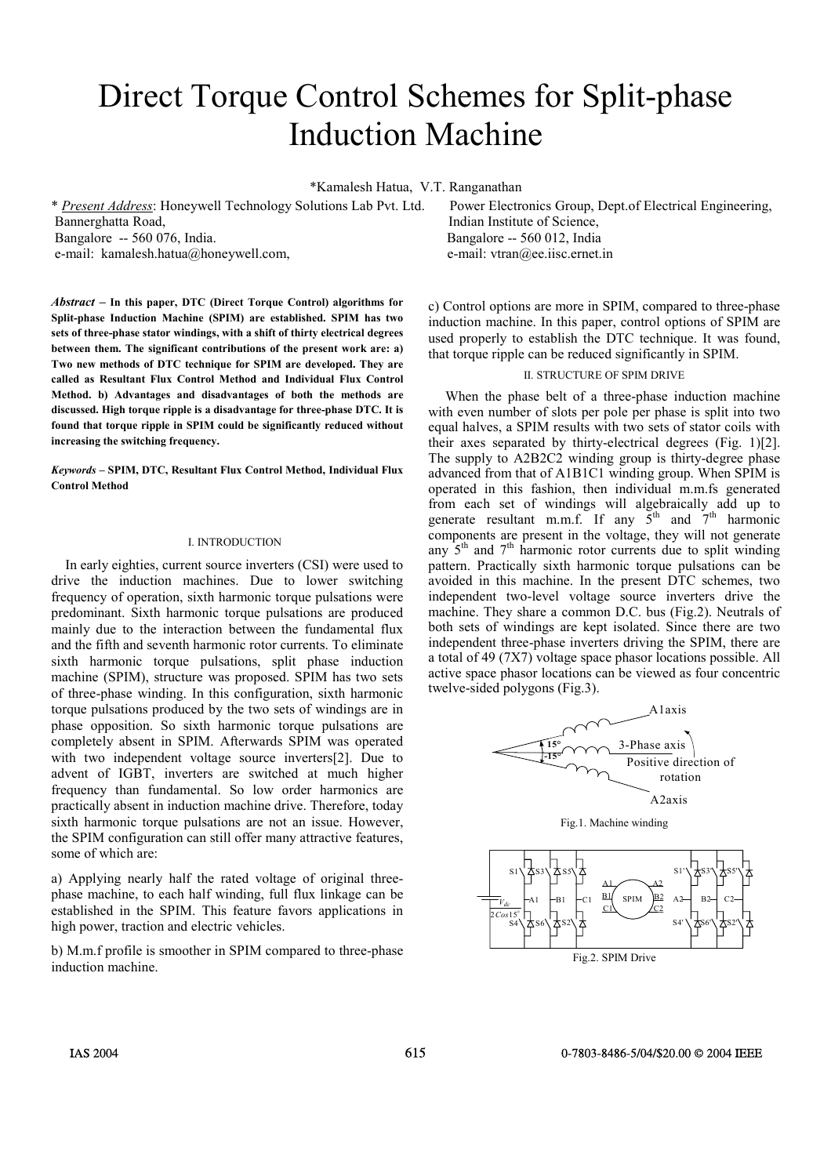# Direct Torque Control Schemes for Split-phase Induction Machine

\*Kamalesh Hatua, V.T. Ranganathan

Bannerghatta Road, and include the state of Science, and institute of Science, Bangalore -- 560 076, India. Bangalore -- 560 012, India

e-mail: kamalesh.hatua@honeywell.com, e-mail: vtran@ee.iisc.ernet.in

*Abstract –* **In this paper, DTC (Direct Torque Control) algorithms for Split-phase Induction Machine (SPIM) are established. SPIM has two sets of three-phase stator windings, with a shift of thirty electrical degrees between them. The significant contributions of the present work are: a) Two new methods of DTC technique for SPIM are developed. They are called as Resultant Flux Control Method and Individual Flux Control Method. b) Advantages and disadvantages of both the methods are discussed. High torque ripple is a disadvantage for three-phase DTC. It is found that torque ripple in SPIM could be significantly reduced without increasing the switching frequency.** 

*Keywords* **– SPIM, DTC, Resultant Flux Control Method, Individual Flux Control Method** 

#### I. INTRODUCTION

 In early eighties, current source inverters (CSI) were used to drive the induction machines. Due to lower switching frequency of operation, sixth harmonic torque pulsations were predominant. Sixth harmonic torque pulsations are produced mainly due to the interaction between the fundamental flux and the fifth and seventh harmonic rotor currents. To eliminate sixth harmonic torque pulsations, split phase induction machine (SPIM), structure was proposed. SPIM has two sets of three-phase winding. In this configuration, sixth harmonic torque pulsations produced by the two sets of windings are in phase opposition. So sixth harmonic torque pulsations are completely absent in SPIM. Afterwards SPIM was operated with two independent voltage source inverters[2]. Due to advent of IGBT, inverters are switched at much higher frequency than fundamental. So low order harmonics are practically absent in induction machine drive. Therefore, today sixth harmonic torque pulsations are not an issue. However, the SPIM configuration can still offer many attractive features, some of which are:

a) Applying nearly half the rated voltage of original threephase machine, to each half winding, full flux linkage can be established in the SPIM. This feature favors applications in high power, traction and electric vehicles.

b) M.m.f profile is smoother in SPIM compared to three-phase induction machine.

\* *Present Address*: Honeywell Technology Solutions Lab Pvt. Ltd. Power Electronics Group, Dept.of Electrical Engineering,

c) Control options are more in SPIM, compared to three-phase induction machine. In this paper, control options of SPIM are used properly to establish the DTC technique. It was found, that torque ripple can be reduced significantly in SPIM.

# II. STRUCTURE OF SPIM DRIVE

 When the phase belt of a three-phase induction machine with even number of slots per pole per phase is split into two equal halves, a SPIM results with two sets of stator coils with their axes separated by thirty-electrical degrees (Fig. 1)[2]. The supply to A2B2C2 winding group is thirty-degree phase advanced from that of A1B1C1 winding group. When SPIM is operated in this fashion, then individual m.m.fs generated from each set of windings will algebraically add up to generate resultant m.m.f. If any  $5<sup>th</sup>$  and  $7<sup>th</sup>$  harmonic components are present in the voltage, they will not generate any  $5<sup>th</sup>$  and  $7<sup>th</sup>$  harmonic rotor currents due to split winding pattern. Practically sixth harmonic torque pulsations can be avoided in this machine. In the present DTC schemes, two independent two-level voltage source inverters drive the machine. They share a common D.C. bus (Fig.2). Neutrals of both sets of windings are kept isolated. Since there are two independent three-phase inverters driving the SPIM, there are a total of 49 (7X7) voltage space phasor locations possible. All active space phasor locations can be viewed as four concentric twelve-sided polygons (Fig.3).



Fig.1. Machine winding

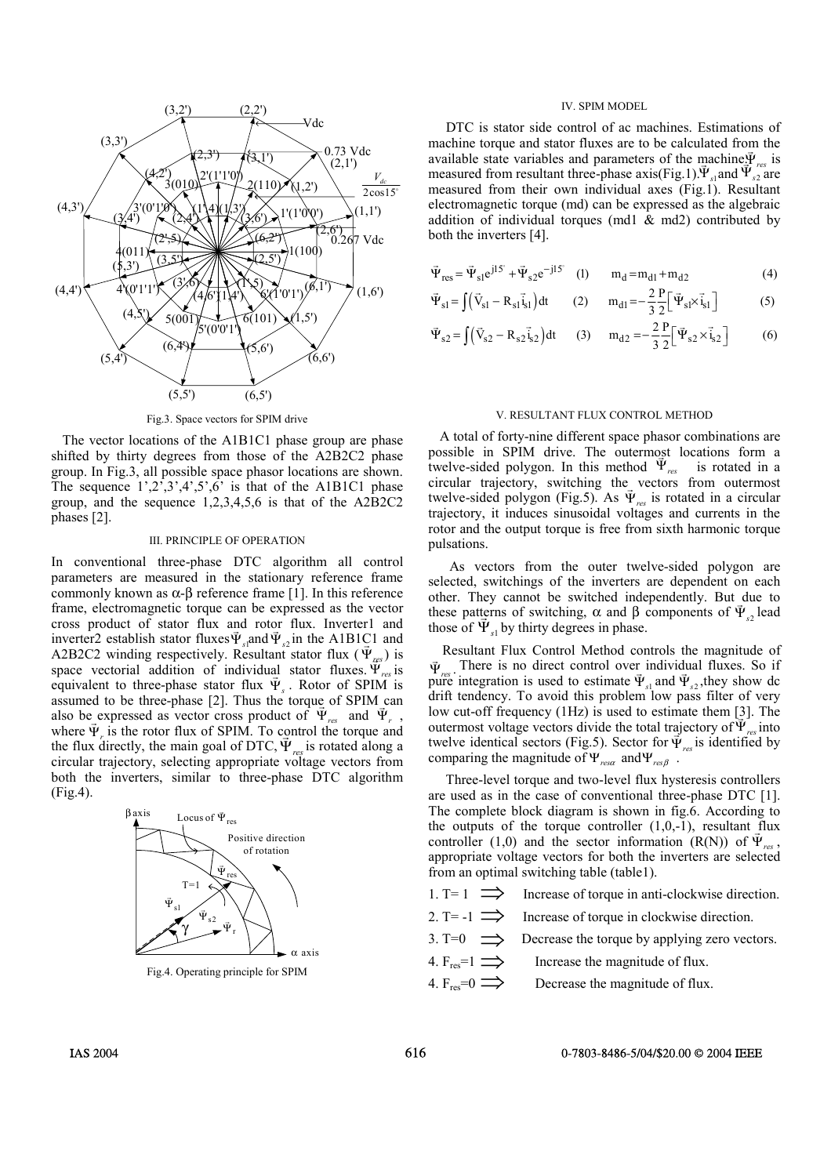

Fig.3. Space vectors for SPIM drive

 The vector locations of the A1B1C1 phase group are phase shifted by thirty degrees from those of the A2B2C2 phase group. In Fig.3, all possible space phasor locations are shown. The sequence  $1^{\prime},2^{\prime},3^{\prime},4^{\prime},5^{\prime},6^{\prime}$  is that of the A1B1C1 phase group, and the sequence 1,2,3,4,5,6 is that of the A2B2C2 phases [2].

## III. PRINCIPLE OF OPERATION

In conventional three-phase DTC algorithm all control parameters are measured in the stationary reference frame commonly known as α-β reference frame [1]. In this reference frame, electromagnetic torque can be expressed as the vector cross product of stator flux and rotor flux. Inverter1 and  $\vec{S}$  and  $\vec{S}$  and  $\vec{S}$  and  $\vec{S}$  and  $\vec{S}$  and  $\vec{S}$  and  $\vec{S}$  and  $\vec{S}$  and  $\vec{S}$  and  $\vec{S}$  and  $\vec{S}$  and  $\vec{S}$  and  $\vec{S}$  and  $\vec{S}$ inverter2 establish stator fluxes  $\Psi_{s}$  and  $\Psi_{s2}$  in the A1B1C1 and  $\frac{1}{2}$ A2B2C2 winding respectively. Resultant stator flux  $(\Psi_{\text{res}})$  is space vectorial addition of individual stator fluxes.  $\Psi_{res}$  is equivalent to three-phase stator flux  $\Psi_s$ . Rotor of SPIM is assumed to be three-phase [2]. Thus the torque of SPIM can also be expressed as vector cross product of  $\Psi_{res}$  and  $\Psi_r$ , where  $\Psi_r$  is the rotor flux of SPIM. To control the torque and the flux directly, the main goal of DTC,  $\Psi_{\text{reg}}$  is rotated along a circular trajectory, selecting appropriate voltage vectors from both the inverters, similar to three-phase DTC algorithm (Fig.4).



Fig.4. Operating principle for SPIM

#### IV. SPIM MODEL

 DTC is stator side control of ac machines. Estimations of machine torque and stator fluxes are to be calculated from the available state variables and parameters of the machine.  $\Psi_{res}$  is measured from resultant three-phase  $axis(Fig.1)$ . $\Psi_{s1}$  and  $\Psi_{s2}$  are measured from their own individual axes (Fig.1). Resultant electromagnetic torque (md) can be expressed as the algebraic addition of individual torques (md1  $\&$  md2) contributed by both the inverters [4]. nacnine.<del>y</del><br>J

$$
\vec{\Psi}_{\text{res}} = \vec{\Psi}_{\text{sl}} e^{j15^{\circ}} + \vec{\Psi}_{\text{sl}} e^{-j15^{\circ}} \quad (1) \qquad m_d = m_{d1} + m_{d2} \tag{4}
$$

$$
\vec{\Psi}_{sl} = \int (\vec{V}_{sl} - R_{sl}\vec{i}_{sl}) dt \qquad (2) \qquad m_{dl} = -\frac{2}{3} \frac{P}{2} [\vec{\Psi}_{sl} \times \vec{i}_{sl}] \qquad (5)
$$

$$
\vec{\Psi}_{s2} = \int (\vec{V}_{s2} - R_{s2} \vec{i}_{s2}) dt
$$
 (3)  $m_{d2} = -\frac{2}{3} \frac{P}{2} [\vec{\Psi}_{s2} \times \vec{i}_{s2}]$  (6)

#### V. RESULTANT FLUX CONTROL METHOD

 A total of forty-nine different space phasor combinations are possible in SPIM drive. The outermost locations form a twelve-sided polygon. In this method  $\Psi_{res}$  is rotated in a circular trajectory, switching the vectors from outermost G twelve-sided polygon (Fig.5). As Ψ<sub>res</sub> is rotated in a circular trajectory, it induces sinusoidal voltages and currents in the rotor and the output torque is free from sixth harmonic torque pulsations.

 As vectors from the outer twelve-sided polygon are selected, switchings of the inverters are dependent on each other. They cannot be switched independently. But due to these patterns of switching,  $\alpha$  and β components of  $\Psi_{s2}$  lead those of  $\Psi_{s1}$  by thirty degrees in phase. terns of switching,  $\alpha$  and  $\beta$  components of  $\Psi_s$ 

 Resultant Flux Control Method controls the magnitude of  $\Psi_{\text{ref}}$ . There is no direct control over individual fluxes. So if pure integration is used to estimate  $\Psi_{s_1}$  and  $\Psi_{s_2}$ , they show dc  $\overline{t}$ There is no direct control over individual fluxes. So if drift tendency. To avoid this problem low pass filter of very low cut-off frequency  $(1Hz)$  is used to estimate them [3]. The outermost voltage vectors divide the total trajectory of  $\Psi_{rest}$  into  $t_{rest}$  the interval of the set of  $\mathcal{F}_{rest}$  in identified by twelve identical sectors (Fig.5). Sector for  $\Psi_{res}$  is identified by comparing the magnitude of  $\Psi_{res\alpha}$  and  $\Psi_{res\beta}$ . *s*

 Three-level torque and two-level flux hysteresis controllers are used as in the case of conventional three-phase DTC [1]. The complete block diagram is shown in fig.6. According to the outputs of the torque controller  $(1,0,-1)$ , resultant flux controller (1,0) and the sector information (R(N)) of  $\Psi_{res}$ , appropriate voltage vectors for both the inverters are selected from an optimal switching table (table1).

- Increase of torque in anti-clockwise direction. 1. T=1  $\implies$
- Increase of torque in clockwise direction.  $2$  T= -1  $\equiv$
- 3. T=0  $\implies$  Decrease the torque by applying zero vectors. ⇒
- Increase the magnitude of flux. 4.  $F_{res} = 1$   $\equiv$
- Decrease the magnitude of flux. 4.  $F_{res}=0 \implies$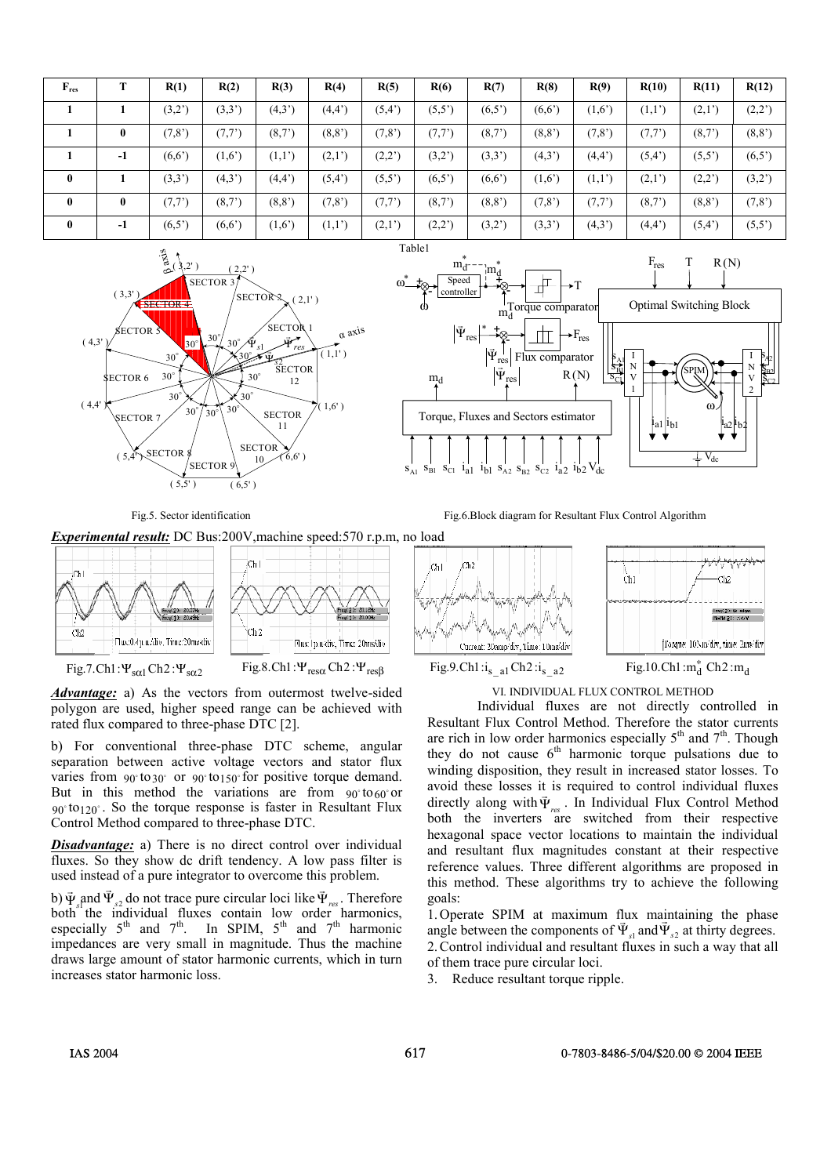| $F_{res}$    |          | R(1)             | R(2)   | R(3)             | R(4)  | R(5)                 | R(6)             | R(7)  | R(8)   | R(9)  | R(10) | R(11)            | R(12)            |
|--------------|----------|------------------|--------|------------------|-------|----------------------|------------------|-------|--------|-------|-------|------------------|------------------|
|              |          | $(3,2^{\prime})$ | (3,3)  | $(4,3^{\prime})$ | (4,4) | (5,4)                | $(5,5^{\circ})$  | (6,5) | (6,6)  | (1,6) | (1,1) | (2,1)            | $(2,2^{\prime})$ |
|              | $\bf{0}$ | (7,8)            | (7,7)  | (8,7)            | (8,8) | (7,8)                | (7,7)            | (8,7) | (8,8)  | (7,8) | (7,7) | (8,7)            | $(8,8^{\circ})$  |
|              | $-1$     | $(6,6^{\circ})$  | (1,6)  | (1,1)            | (2,1) | $(2,2)$ <sup>*</sup> | $(3,2^{\prime})$ | (3,3) | (4,3)  | (4,4) | (5,4) | $(5,5^{\prime})$ | $(6,5^{\prime})$ |
| $\mathbf{0}$ |          | (3,3)            | (4,3)  | $(4,4^{\prime})$ | (5,4) | $(5,5^{\circ})$      | (6,5)            | (6,6) | (1,6)  | (1,1) | (2,1) | (2,2)            | $(3,2^{\prime})$ |
| $\mathbf{0}$ | $\bf{0}$ | (7,7)            | (8,7)  | $(8,8^{\circ})$  | (7,8) | (7,7)                | (8,7)            | (8,8) | (7,8)  | (7,7) | (8,7) | $(8,8^{\circ})$  | $(7,8^{\circ})$  |
| $\mathbf{0}$ | $-1$     | (6,5)            | (6, 6) | (1,6)            | (1,1) | (2,1)                | (2,2)            | (3,2) | (3,3') | (4,3) | (4,4) | (5,4)            | $(5,5^{\prime})$ |





Fig.5. Sector identification Fig.6.Block diagram for Resultant Flux Control Algorithm



*Advantage:* a) As the vectors from outermost twelve-sided polygon are used, higher speed range can be achieved with rated flux compared to three-phase DTC [2].

b) For conventional three-phase DTC scheme, angular separation between active voltage vectors and stator flux varies from  $90^\circ \text{ to } 30^\circ$  or  $90^\circ \text{ to } 150^\circ$  for positive torque demand. But in this method the variations are from  $90^{\circ}$  to  $60^{\circ}$  or  $90^{\circ}$  to<sub>120</sub>°. So the torque response is faster in Resultant Flux Control Method compared to three-phase DTC.

*Disadvantage:* a) There is no direct control over individual fluxes. So they show dc drift tendency. A low pass filter is used instead of a pure integrator to overcome this problem.

b)  $\vec{\Psi}$  and  $\vec{\Psi}_{s2}$  do not trace pure circular loci like  $\vec{\Psi}_{res}$ . Therefore both the individual fluxes contain low order harmonics, especially  $5<sup>th</sup>$  and  $7<sup>th</sup>$ . In SPIM,  $5<sup>th</sup>$  and  $7<sup>th</sup>$  harmonic impedances are very small in magnitude. Thus the machine draws large amount of stator harmonic currents, which in turn increases stator harmonic loss.  $s_2$  do not trace pure circular loci like  $\vec{\Psi}$ *res*

VI. INDIVIDUAL FLUX CONTROL METHOD

Individual fluxes are not directly controlled in Resultant Flux Control Method. Therefore the stator currents are rich in low order harmonics especially  $5<sup>th</sup>$  and  $7<sup>th</sup>$ . Though they do not cause  $6<sup>th</sup>$  harmonic torque pulsations due to winding disposition, they result in increased stator losses. To avoid these losses it is required to control individual fluxes directly along with  $\Psi_{res}$ . In Individual Flux Control Method both the inverters are switched from their respective hexagonal space vector locations to maintain the individual and resultant flux magnitudes constant at their respective reference values. Three different algorithms are proposed in this method. These algorithms try to achieve the following goals: *res*

1. Operate SPIM at maximum flux maintaining the phase angle between the components of  $\Psi_{s1}$  and  $\Psi_{s2}$  at thirty degrees. 2.Control individual and resultant fluxes in such a way that all of them trace pure circular loci.

3. Reduce resultant torque ripple.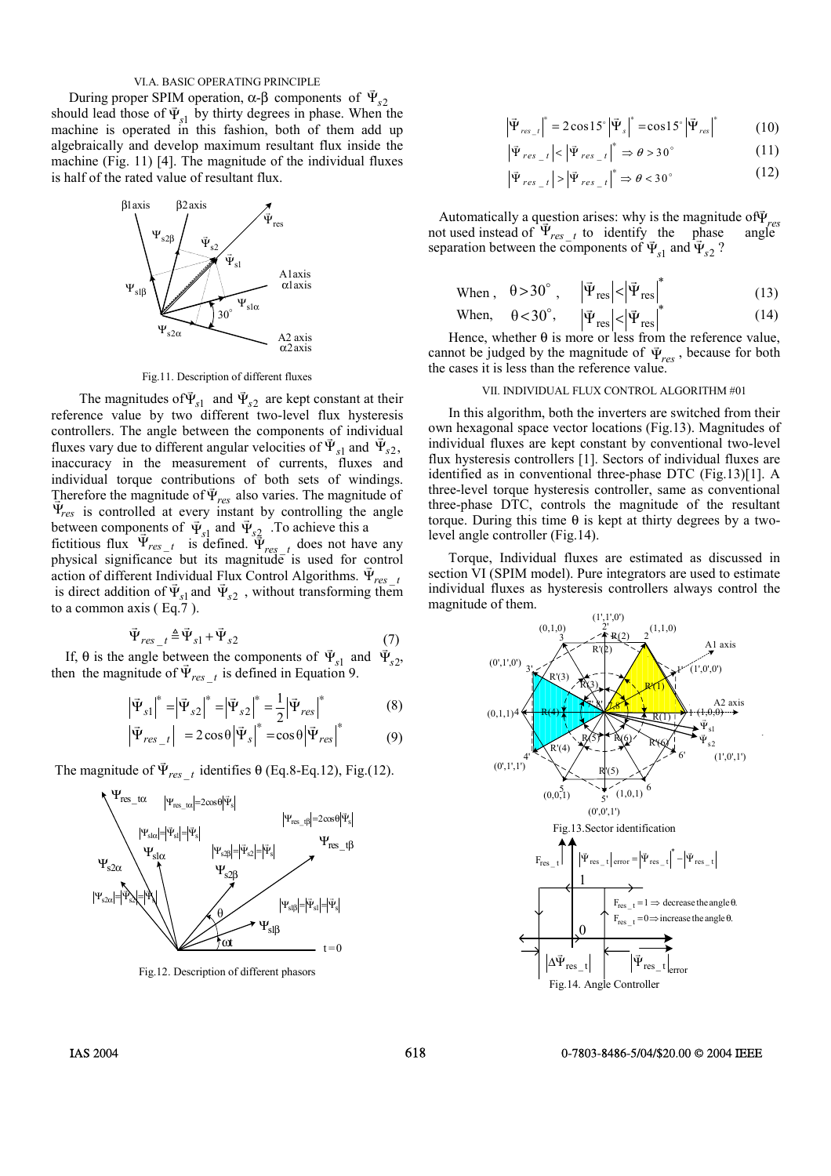## VI.A. BASIC OPERATING PRINCIPLE

During proper SPIM operation,  $\alpha$ -β components of  $\vec{\Psi}_{s2}$ should lead those of  $\vec{\Psi}_{s1}$  by thirty degrees in phase. When the machine is operated in this fashion, both of them add up algebraically and develop maximum resultant flux inside the machine (Fig. 11) [4]. The magnitude of the individual fluxes is half of the rated value of resultant flux.



Fig.11. Description of different fluxes

The magnitudes of  $\vec{\Psi}_{s1}$  and  $\vec{\Psi}_{s2}$  are kept constant at their reference value by two different two-level flux hysteresis controllers. The angle between the components of individual  $\vec{S}$ fluxes vary due to different angular velocities of  $\Psi_{s1}$  and  $\Psi_{s2}$ , inaccuracy in the measurement of currents, fluxes and individual torque contributions of both sets of windings. G Therefore the magnitude of  $\Psi_{res}$  also varies. The magnitude of is controlled at every instant by controlling the angle Ψ*res* between components of  $\vec{\Psi}_{s1}$  and  $\vec{\Psi}_{s2}$ . To achieve this a fictitious flux  $\Psi_{res}$  is defined.  $\bar{\Psi}_{res}$  does not have any physical significance but its magnitude is used for control action of different Individual Flux Control Algorithms.  $\Psi_{res_{t}}t$ is direct addition of  $\Psi_{s1}$  and  $\Psi_{s2}$ , without transforming them to a common axis ( Eq.7 ).  $\vec{\Psi}_{s_1}$  $\Psi_{res\_t}$ hents of  $\vec{\Psi}_{s_1}$  and  $\vec{\Psi}_{s_2}$  $\Psi_{res\_t}^{2}$ 

$$
\vec{\Psi}_{res\_t} \triangleq \vec{\Psi}_{s1} + \vec{\Psi}_{s2} \tag{7}
$$

If, θ is the angle between the components of  $\Psi_{s1}$  and  $\Psi_{s2}$ , then the magnitude of  $\Psi_{res}$  *t* is defined in Equation 9.  $\vec{\Psi}_{s1}$  and  $\vec{\Psi}_{s2}$ ween ι<br>Ψ<sub>res\_t</sub>

$$
\left|\vec{\Psi}_{s1}\right|^* = \left|\vec{\Psi}_{s2}\right|^* = \left|\vec{\Psi}_{s2}\right|^* = \frac{1}{2}\left|\vec{\Psi}_{res}\right|^*
$$
\n(8)

$$
\left| \vec{\Psi}_{res\_t} \right| = 2 \cos \theta \left| \vec{\Psi}_s \right|^\circ = \cos \theta \left| \vec{\Psi}_{res} \right|^\circ \tag{9}
$$

The magnitude of  $\vec{\Psi}_{res_{t}}$  identifies  $\theta$  (Eq.8-Eq.12), Fig.(12).



Fig.12. Description of different phasors

$$
\left|\vec{\Psi}_{res_{-t}}\right|^* = 2\cos 15^\circ \left|\vec{\Psi}_s\right|^* = \cos 15^\circ \left|\vec{\Psi}_{res}\right|^* \tag{10}
$$

$$
\left|\bar{\Psi}_{res_{-}t}\right| < \left|\bar{\Psi}_{res_{-}t}\right|^* \Rightarrow \theta > 30^\circ \tag{11}
$$

$$
\left|\vec{\Psi}_{res}\right| > \left|\vec{\Psi}_{res}\right|^{*} \Rightarrow \theta < 30^{\circ}
$$
 (12)

Automatically a question arises: why is the magnitude of  $\Psi_{\text{res}}$ not used instead of  $\Psi_{res}$  *t* to identify the phase angle separation between the components of  $\vec{\Psi}_{s1}$  and  $\vec{\Psi}_{s2}$ ? ļ

When, 
$$
\theta > 30^{\circ}
$$
,  $|\vec{\Psi}_{res}| < |\vec{\Psi}_{res}|^*$  (13)

When, 
$$
\theta < 30^{\circ}
$$
,  $|\vec{\Psi}_{res}| < |\vec{\Psi}_{res}|^*$  (14)

Hence, whether  $\theta$  is more or less from the reference value, Frace, whence  $\sigma$  is more of tess from the reference value, the cases it is less than the reference value.

#### VII. INDIVIDUAL FLUX CONTROL ALGORITHM #01

In this algorithm, both the inverters are switched from their own hexagonal space vector locations (Fig.13). Magnitudes of individual fluxes are kept constant by conventional two-level flux hysteresis controllers [1]. Sectors of individual fluxes are identified as in conventional three-phase DTC (Fig.13)[1]. A three-level torque hysteresis controller, same as conventional three-phase DTC, controls the magnitude of the resultant torque. During this time θ is kept at thirty degrees by a twolevel angle controller (Fig.14).

Torque, Individual fluxes are estimated as discussed in section VI (SPIM model). Pure integrators are used to estimate individual fluxes as hysteresis controllers always control the magnitude of them.

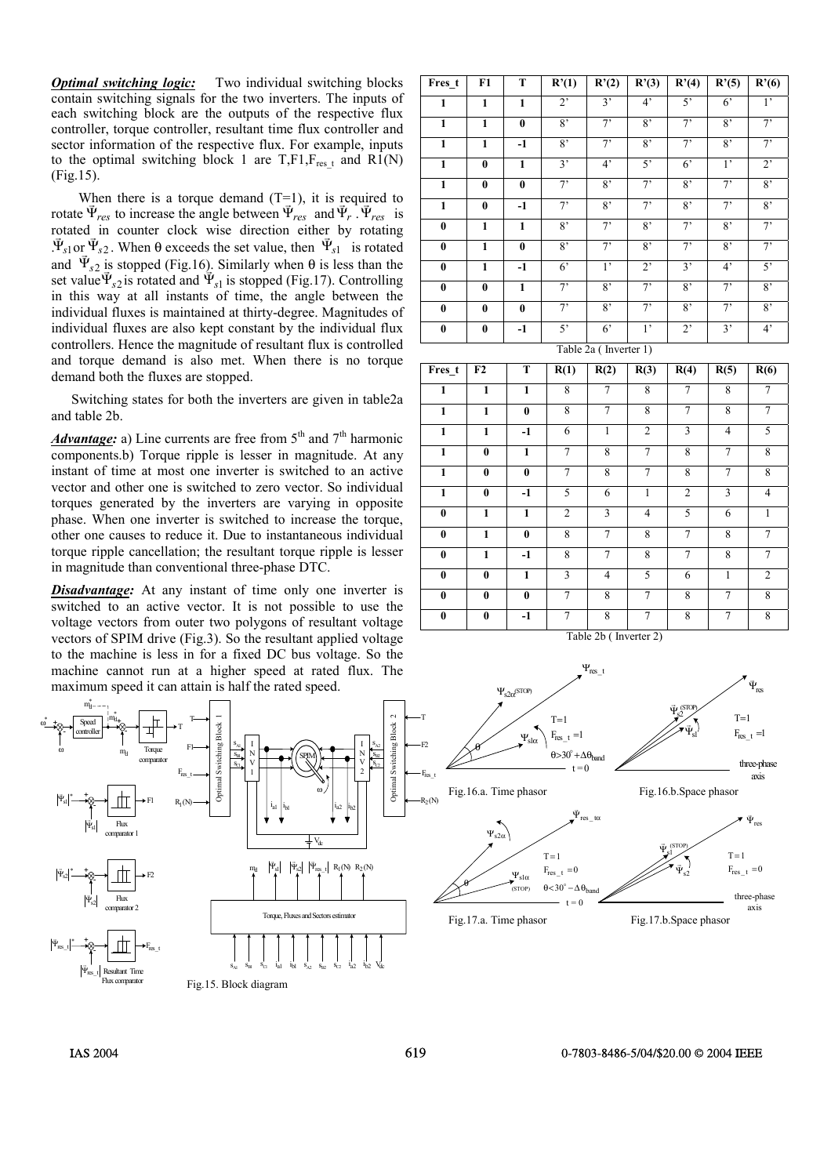*Optimal switching logic:* Two individual switching blocks contain switching signals for the two inverters. The inputs of each switching block are the outputs of the respective flux controller, torque controller, resultant time flux controller and sector information of the respective flux. For example, inputs to the optimal switching block 1 are  $T,F1, F_{res}$  and  $R1(N)$ (Fig.15).

When there is a torque demand  $(T=1)$ , it is required to rotate  $\Psi_{res}$  to increase the angle between  $\Psi_{res}$  and  $\Psi_{r}$ .  $\Psi_{res}$  is rotated in counter clock wise direction either by rotating  $\Psi_{s1}$  or  $\Psi_{s2}$ . When  $\theta$  exceeds the set value, then  $\Psi_{s1}$  is rotated and  $\Psi_{s2}$  is stopped (Fig.16). Similarly when  $\theta$  is less than the set value  $\Psi_{s2}$  is rotated and  $\Psi_{s1}$  is stopped (Fig.17). Controlling in this way at all instants of time, the angle between the individual fluxes is maintained at thirty-degree. Magnitudes of individual fluxes are also kept constant by the individual flux controllers. Hence the magnitude of resultant flux is controlled and torque demand is also met. When there is no torque demand both the fluxes are stopped.

Switching states for both the inverters are given in table2a and table 2b.

*Advantage:* a) Line currents are free from  $5<sup>th</sup>$  and  $7<sup>th</sup>$  harmonic components.b) Torque ripple is lesser in magnitude. At any instant of time at most one inverter is switched to an active vector and other one is switched to zero vector. So individual torques generated by the inverters are varying in opposite phase. When one inverter is switched to increase the torque, other one causes to reduce it. Due to instantaneous individual torque ripple cancellation; the resultant torque ripple is lesser in magnitude than conventional three-phase DTC.

**Disadvantage:** At any instant of time only one inverter is switched to an active vector. It is not possible to use the voltage vectors from outer two polygons of resultant voltage vectors of SPIM drive (Fig.3). So the resultant applied voltage to the machine is less in for a fixed DC bus voltage. So the machine cannot run at a higher speed at rated flux. The maximum speed it can attain is half the rated speed.

| Fres_t       | F1           | T            | $\overline{R}(1)$ | R'(2)                 | R'(3)       | R'(4)          | R'(5)          | $\mathbf{R}'(6)$ |
|--------------|--------------|--------------|-------------------|-----------------------|-------------|----------------|----------------|------------------|
| 1            | 1            | $\mathbf{1}$ | $2^{\circ}$       | 3'                    | $4^{\circ}$ | $5^{\circ}$    | 6 <sup>2</sup> | $1^{\circ}$      |
| 1            | 1            | $\bf{0}$     | $8^{\circ}$       | $7^{\circ}$           | 8'          | $7^{\circ}$    | $8^{\circ}$    | $7^{\circ}$      |
| 1            | 1            | $-1$         | 8'                | $7^{\circ}$           | 8'          | $7^{\circ}$    | $8^{\circ}$    | $7^{\circ}$      |
| $\mathbf{1}$ | $\bf{0}$     | $\mathbf{1}$ | 3'                | $4^{\circ}$           | $5^{\circ}$ | 6 <sup>2</sup> | $1^{\circ}$    | $2^{\circ}$      |
| $\mathbf{1}$ | $\bf{0}$     | $\bf{0}$     | $7^{\circ}$       | 8'                    | 7'          | 8'             | $7^{\circ}$    | $8^{\circ}$      |
| $\mathbf{1}$ | $\bf{0}$     | $-1$         | $7^{\circ}$       | 8'                    | $7^{\circ}$ | 8'             | $7^{\circ}$    | $8^{\circ}$      |
| $\bf{0}$     | 1            | $\mathbf{1}$ | 8'                | $7^{\circ}$           | 8'          | $7^{\circ}$    | $8^{\circ}$    | $7^{\circ}$      |
| $\bf{0}$     | $\mathbf{1}$ | $\bf{0}$     | 8'                | $7^{\circ}$           | 8'          | $7^{\circ}$    | $8^{\circ}$    | $7^{\circ}$      |
| $\bf{0}$     | 1            | $-1$         | 6 <sup>2</sup>    | $1^{\circ}$           | $2^{\circ}$ | 3'             | $4^{\circ}$    | $5^{\circ}$      |
| $\bf{0}$     | $\bf{0}$     | $\mathbf{1}$ | $7^{\circ}$       | $8^{\circ}$           | $7^{\circ}$ | 8'             | $7^{\circ}$    | $8^{\circ}$      |
| $\bf{0}$     | $\bf{0}$     | $\bf{0}$     | $7^{\circ}$       | 8'                    | $7^{\circ}$ | 8'             | $7^{\circ}$    | $8^{\circ}$      |
| $\bf{0}$     | $\bf{0}$     | $-1$         | 5'                | 6 <sup>2</sup>        | $1^{\circ}$ | $2^{\circ}$    | 3'             | $4^{\circ}$      |
|              |              |              |                   | Table 2a (Inverter 1) |             |                |                |                  |

| Fres_t       | F2           | T            | R(1)           | R(2)           | R(3)           | R(4)           | R(5)           | R(6)           |
|--------------|--------------|--------------|----------------|----------------|----------------|----------------|----------------|----------------|
| $\mathbf{1}$ | $\mathbf{1}$ | $\mathbf{1}$ | 8              | $\overline{7}$ | 8              | $\overline{7}$ | 8              | 7              |
| $\mathbf{1}$ | $\mathbf{1}$ | $\bf{0}$     | 8              | 7              | 8              | $\overline{7}$ | 8              | 7              |
| $\mathbf{1}$ | $\mathbf{1}$ | $-1$         | 6              | 1              | $\overline{2}$ | 3              | $\overline{4}$ | 5              |
| $\mathbf{1}$ | $\bf{0}$     | $\mathbf{1}$ | 7              | 8              | 7              | 8              | $\overline{7}$ | 8              |
| $\mathbf{1}$ | $\bf{0}$     | $\bf{0}$     | 7              | 8              | 7              | 8              | $\overline{7}$ | 8              |
| $\mathbf{1}$ | $\bf{0}$     | $-1$         | 5              | 6              | $\mathbf{1}$   | $\overline{2}$ | 3              | $\overline{4}$ |
| $\bf{0}$     | $\mathbf{1}$ | $\mathbf{1}$ | $\overline{2}$ | 3              | $\overline{4}$ | 5              | 6              | 1              |
| $\bf{0}$     | $\mathbf{1}$ | $\bf{0}$     | 8              | 7              | 8              | $\overline{7}$ | 8              | $\overline{7}$ |
| $\bf{0}$     | $\mathbf{1}$ | $-1$         | 8              | 7              | 8              | $\overline{7}$ | 8              | $\overline{7}$ |
| $\bf{0}$     | $\bf{0}$     | $\mathbf{1}$ | $\overline{3}$ | $\overline{4}$ | 5              | 6              | $\overline{1}$ | $\overline{2}$ |
| $\bf{0}$     | $\bf{0}$     | $\bf{0}$     | 7              | 8              | $\overline{7}$ | 8              | $\overline{7}$ | 8              |
| $\bf{0}$     | $\bf{0}$     | $-1$         | $\overline{7}$ | 8              | 7              | 8              | $\tau$         | 8              |

Table 2b ( Inverter 2)

Ψres\_t

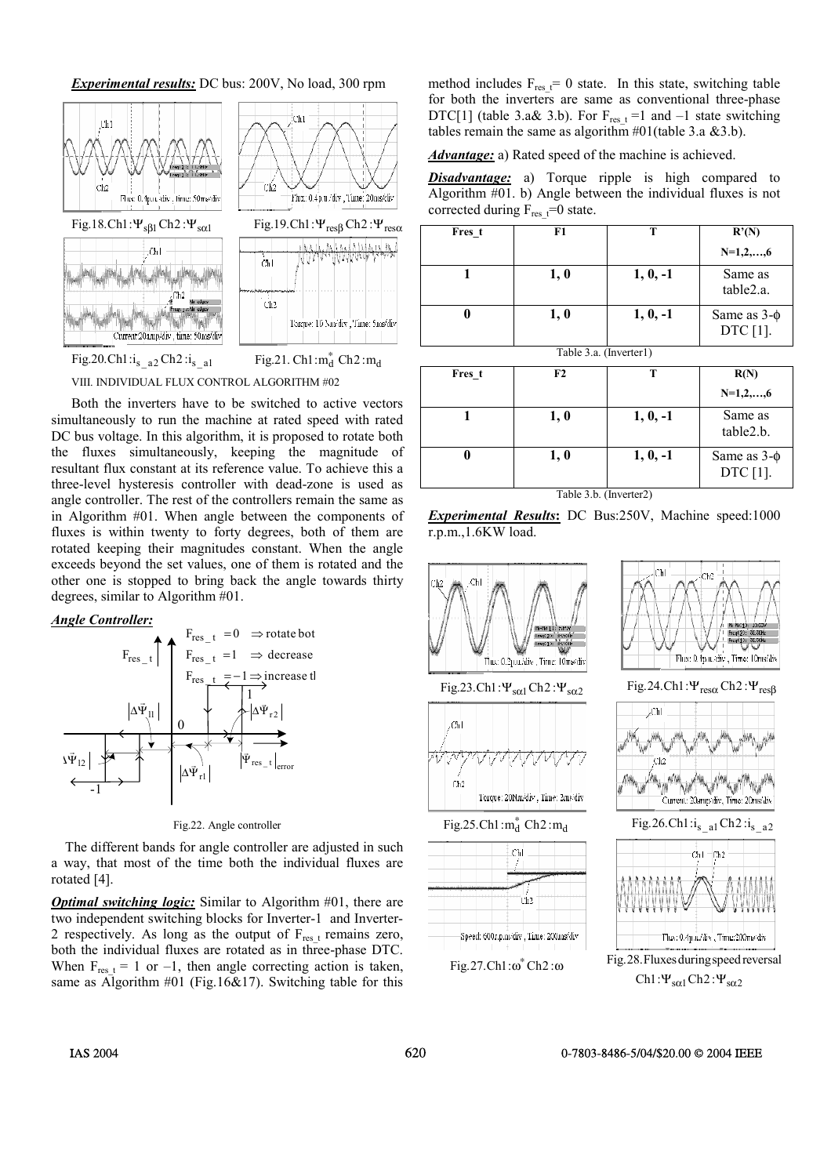



VIII. INDIVIDUAL FLUX CONTROL ALGORITHM #02

Both the inverters have to be switched to active vectors simultaneously to run the machine at rated speed with rated DC bus voltage. In this algorithm, it is proposed to rotate both the fluxes simultaneously, keeping the magnitude of resultant flux constant at its reference value. To achieve this a three-level hysteresis controller with dead-zone is used as angle controller. The rest of the controllers remain the same as in Algorithm #01. When angle between the components of fluxes is within twenty to forty degrees, both of them are rotated keeping their magnitudes constant. When the angle exceeds beyond the set values, one of them is rotated and the other one is stopped to bring back the angle towards thirty degrees, similar to Algorithm #01.

## *Angle Controller:*



Fig.22. Angle controller

 The different bands for angle controller are adjusted in such a way, that most of the time both the individual fluxes are rotated [4].

*Optimal switching logic:* Similar to Algorithm #01, there are two independent switching blocks for Inverter-1 and Inverter-2 respectively. As long as the output of  $F_{res}$ <sub>t</sub> remains zero, both the individual fluxes are rotated as in three-phase DTC. When  $F_{res, t} = 1$  or  $-1$ , then angle correcting action is taken, same as Algorithm #01 (Fig.16&17). Switching table for this

method includes  $F_{res} = 0$  state. In this state, switching table for both the inverters are same as conventional three-phase DTC[1] (table 3.a& 3.b). For  $F_{res\ t} = 1$  and  $-1$  state switching tables remain the same as algorithm  $#01$ (table 3.a &3.b).

*Advantage:* a) Rated speed of the machine is achieved.

*Disadvantage:* a) Torque ripple is high compared to Algorithm #01. b) Angle between the individual fluxes is not corrected during  $F_{res}$   $=$  0 state.

| Fres t | F1  |            | R'(N)                        |
|--------|-----|------------|------------------------------|
|        |     |            | $N=1,2,,6$                   |
|        | 1,0 | $1, 0, -1$ | Same as<br>table2.a.         |
|        | 1,0 | $1, 0, -1$ | Same as $3-\phi$<br>DTC [1]. |

Table 3.a. (Inverter1)

| Fres t | F2  | т          | R(N)<br>$N=1,2,,6$              |
|--------|-----|------------|---------------------------------|
|        | 1,0 | $1, 0, -1$ | Same as<br>table2.b.            |
|        | 1,0 | $1, 0, -1$ | Same as $3-\phi$<br>DTC $[1]$ . |

Table 3.b. (Inverter2)



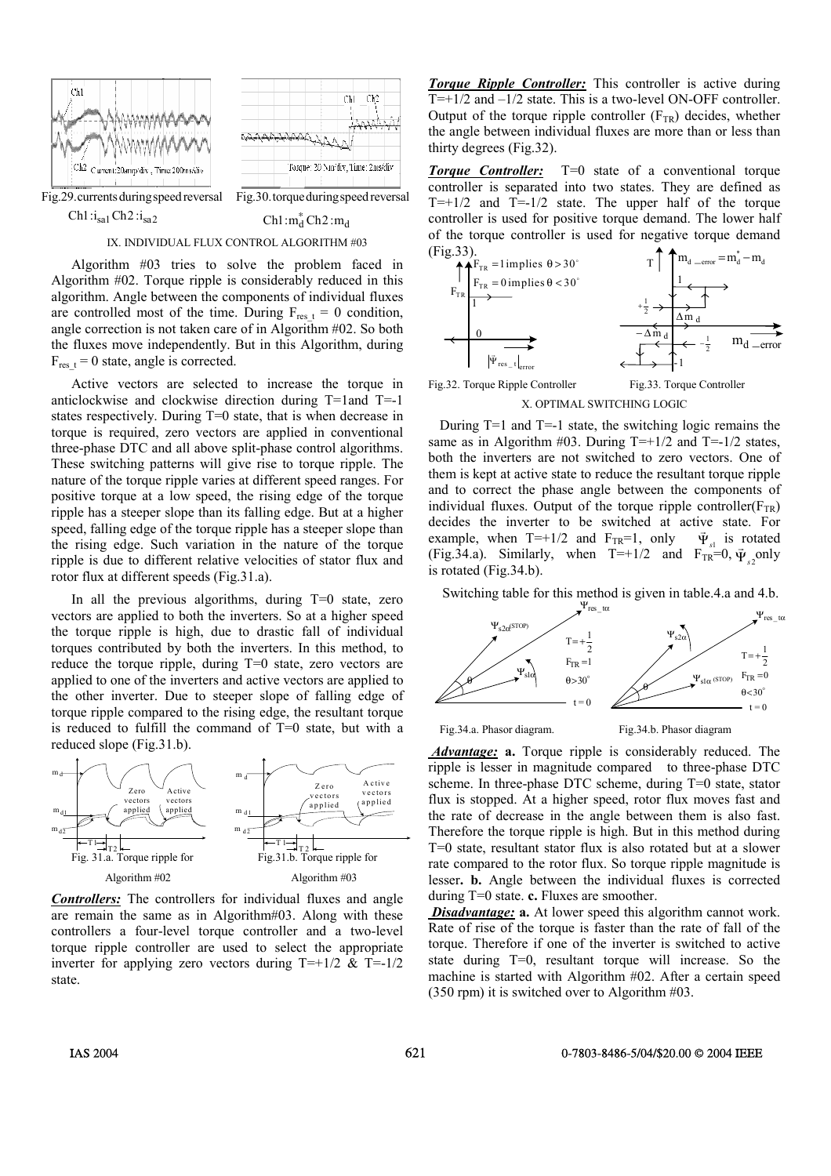



Ch $1:$ i $_{\rm sa1}$ Ch $2:$ i $_{\rm sa2}$ Fig.29.currentsduringspeed reversal

 $Ch1: m_d^* Ch2: m_d$ 

## IX. INDIVIDUAL FLUX CONTROL ALGORITHM #03

Algorithm #03 tries to solve the problem faced in Algorithm #02. Torque ripple is considerably reduced in this algorithm. Angle between the components of individual fluxes are controlled most of the time. During  $F_{res,t} = 0$  condition, angle correction is not taken care of in Algorithm #02. So both the fluxes move independently. But in this Algorithm, during  $F_{res, t} = 0$  state, angle is corrected.

Active vectors are selected to increase the torque in anticlockwise and clockwise direction during T=1and T=-1 states respectively. During T=0 state, that is when decrease in torque is required, zero vectors are applied in conventional three-phase DTC and all above split-phase control algorithms. These switching patterns will give rise to torque ripple. The nature of the torque ripple varies at different speed ranges. For positive torque at a low speed, the rising edge of the torque ripple has a steeper slope than its falling edge. But at a higher speed, falling edge of the torque ripple has a steeper slope than the rising edge. Such variation in the nature of the torque ripple is due to different relative velocities of stator flux and rotor flux at different speeds (Fig.31.a).

In all the previous algorithms, during  $T=0$  state, zero vectors are applied to both the inverters. So at a higher speed the torque ripple is high, due to drastic fall of individual torques contributed by both the inverters. In this method, to reduce the torque ripple, during T=0 state, zero vectors are applied to one of the inverters and active vectors are applied to the other inverter. Due to steeper slope of falling edge of torque ripple compared to the rising edge, the resultant torque is reduced to fulfill the command of  $T=0$  state, but with a reduced slope (Fig.31.b).



*Controllers:* The controllers for individual fluxes and angle are remain the same as in Algorithm#03. Along with these controllers a four-level torque controller and a two-level torque ripple controller are used to select the appropriate inverter for applying zero vectors during  $T=+1/2$  &  $T=-1/2$ state.

*Torque Ripple Controller:* This controller is active during  $T=+1/2$  and  $-1/2$  state. This is a two-level ON-OFF controller. Output of the torque ripple controller  $(F_{TR})$  decides, whether the angle between individual fluxes are more than or less than thirty degrees (Fig.32).

*Torque Controller:* T=0 state of a conventional torque controller is separated into two states. They are defined as  $T=+1/2$  and  $T=-1/2$  state. The upper half of the torque controller is used for positive torque demand. The lower half of the torque controller is used for negative torque demand (Fig.33).



Fig.32. Torque Ripple Controller Fig.33. Torque Controller

# X. OPTIMAL SWITCHING LOGIC

 During T=1 and T=-1 state, the switching logic remains the same as in Algorithm #03. During  $T=+1/2$  and  $T=-1/2$  states, both the inverters are not switched to zero vectors. One of them is kept at active state to reduce the resultant torque ripple and to correct the phase angle between the components of individual fluxes. Output of the torque ripple controller( $F_{TR}$ ) decides the inverter to be switched at active state. For example, when  $T=+1/2$  and  $F_{TR}=1$ , only (Fig.34.a). Similarly, when  $T=+1/2$  and  $F_{TR}=0$ ,  $\vec{\Psi}_{s2}$  only is rotated (Fig.34.b).  $\vec{\Psi}_{s1}$  $\overline{C}$   $\overline{C}$ 

Switching table for this method is given in table.4.a and 4.b.



Fig.34.a. Phasor diagram. Fig.34.b. Phasor diagram

 *Advantage:* **a.** Torque ripple is considerably reduced. The ripple is lesser in magnitude compared to three-phase DTC scheme. In three-phase DTC scheme, during T=0 state, stator flux is stopped. At a higher speed, rotor flux moves fast and the rate of decrease in the angle between them is also fast. Therefore the torque ripple is high. But in this method during T=0 state, resultant stator flux is also rotated but at a slower rate compared to the rotor flux. So torque ripple magnitude is lesser**. b.** Angle between the individual fluxes is corrected during T=0 state. **c.** Fluxes are smoother.

*Disadvantage:* a. At lower speed this algorithm cannot work. Rate of rise of the torque is faster than the rate of fall of the torque. Therefore if one of the inverter is switched to active state during T=0, resultant torque will increase. So the machine is started with Algorithm #02. After a certain speed (350 rpm) it is switched over to Algorithm #03.